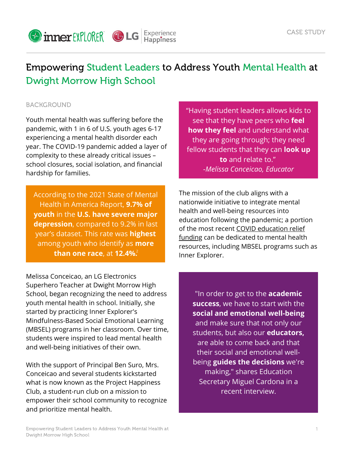

# Empowering Student Leaders to Address Youth Mental Health at Dwight Morrow High School

## **BACKGROUND**

Youth mental health was suffering before the pandemic, with 1 in 6 of U.S. youth ages 6-17 experiencing a mental health disorder each year. The COVID-19 pandemic added a layer of complexity to these already critical issues – school closures, social isolation, and financial hardship for families.

According to the 2021 State of Mental Health in America Report, **9.7% of youth** in the **U.S. have severe major depression**, compared to 9.2% in last year's dataset. This rate was **highest** among youth who identify as **more than one race**, at **12.4%.** 2

Melissa Conceicao, an LG Electronics Superhero Teacher at Dwight Morrow High School, began recognizing the need to address youth mental health in school. Initially, she started by practicing Inner Explorer's Mindfulness-Based Social Emotional Learning (MBSEL) programs in her classroom. Over time, students were inspired to lead mental health and well-being initiatives of their own.

With the support of Principal Ben Suro, Mrs. Conceicao and several students kickstarted what is now known as the Project Happiness Club, a student-run club on a mission to empower their school community to recognize and prioritize mental health.

"Having student leaders allows kids to see that they have peers who **feel how they feel** and understand what they are going through; they need fellow students that they can **look up to** and relate to." *-Melissa Conceicao, Educator*

The mission of the club aligns with a nationwide initiative to integrate mental health and well-being resources into education following the pandemic; a portion of the most recent COVID [education](https://www.innerexplorer.org/COVID19_ReliefFunds.html) relief funding can be dedicated to mental health resources, including MBSEL programs such as Inner Explorer.

"In order to get to the **academic success**, we have to start with the **social and emotional well-being** and make sure that not only our students, but also our **educators,** are able to come back and that their social and emotional wellbeing **guides the decisions** we're making," shares Education Secretary Miguel Cardona in a recent interview.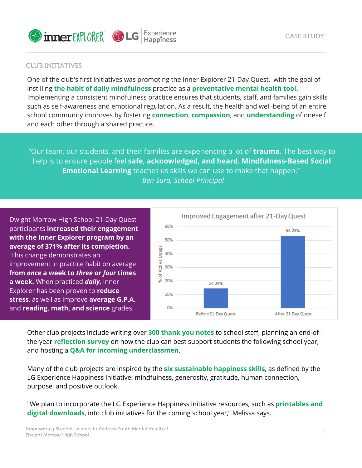

#### CLUB INITIATIVES

One of the club's first initiatives was promoting the Inner Explorer 21-Day Quest, with the goal of instilling **the habit of daily mindfulness** practice as a **preventative mental health tool.** Implementing a consistent mindfulness practice ensures that students, staff, and families gain skills such as self-awareness and emotional regulation. As a result, the health and well-being of an entire school community improves by fostering **connection**, **compassion**, and **understanding** of oneself and each other through a shared practice.

"Our team, our students, and their families are experiencing a lot of **trauma.** The best way to help is to ensure people feel **safe, acknowledged, and heard. Mindfulness-Based Social Emotional Learning** teaches us skills we can use to make that happen." *-Ben Suro, School Principal*

Dwight Morrow High School 21-Day Quest participants **increased their engagement with the Inner Explorer program by an average of 371% after its completion.** This change demonstrates an improvement in practice habit on average **from** *once* **a week to** *three* **or** *four* **times a week.** When practiced *daily*, Inner Explorer has been proven to **reduce stress**, as well as improve **average G.P.A**. and **reading, math, and science** grades.



Other club projects include writing over **300 thank you notes** to school staff, planning an end-ofthe-year **reflection survey** on how the club can best support students the following school year, and hosting a **Q&A for incoming underclassmen**.

Many of the club projects are inspired by the **six sustainable happiness skills**, as defined by the LG [Experience](https://www.lgexperiencehappiness.com/happiness-skills/) Happiness initiative: mindfulness, generosity, gratitude, human connection, purpose, and positive outlook.

"We plan to incorporate the LG Experience Happiness initiative resources, such as **printables and digital downloads**, into club initiatives for the coming school year," Melissa says.

CASE STUDY